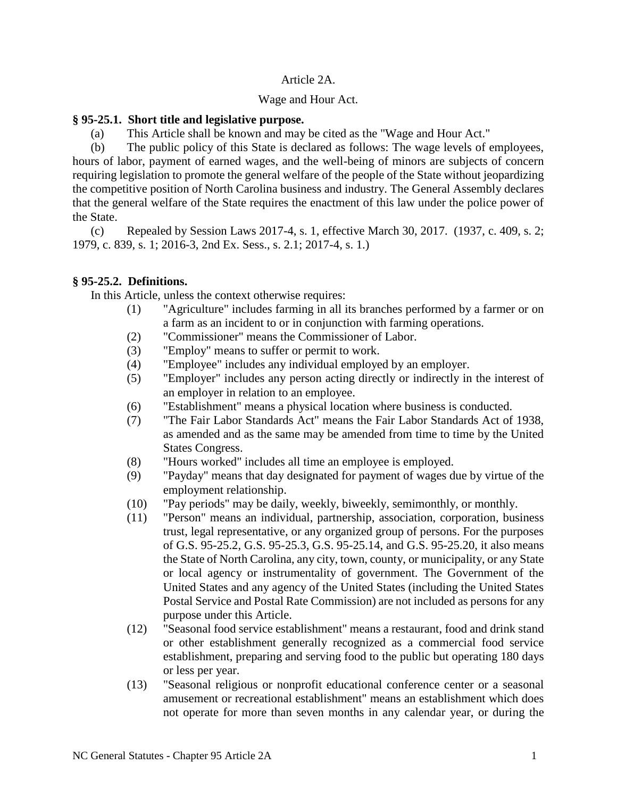## Article 2A.

## Wage and Hour Act.

# **§ 95-25.1. Short title and legislative purpose.**

(a) This Article shall be known and may be cited as the "Wage and Hour Act."

(b) The public policy of this State is declared as follows: The wage levels of employees, hours of labor, payment of earned wages, and the well-being of minors are subjects of concern requiring legislation to promote the general welfare of the people of the State without jeopardizing the competitive position of North Carolina business and industry. The General Assembly declares that the general welfare of the State requires the enactment of this law under the police power of the State.

(c) Repealed by Session Laws 2017-4, s. 1, effective March 30, 2017. (1937, c. 409, s. 2; 1979, c. 839, s. 1; 2016-3, 2nd Ex. Sess., s. 2.1; 2017-4, s. 1.)

# **§ 95-25.2. Definitions.**

In this Article, unless the context otherwise requires:

- (1) "Agriculture" includes farming in all its branches performed by a farmer or on a farm as an incident to or in conjunction with farming operations.
- (2) "Commissioner" means the Commissioner of Labor.
- (3) "Employ" means to suffer or permit to work.
- (4) "Employee" includes any individual employed by an employer.
- (5) "Employer" includes any person acting directly or indirectly in the interest of an employer in relation to an employee.
- (6) "Establishment" means a physical location where business is conducted.
- (7) "The Fair Labor Standards Act" means the Fair Labor Standards Act of 1938, as amended and as the same may be amended from time to time by the United States Congress.
- (8) "Hours worked" includes all time an employee is employed.
- (9) "Payday" means that day designated for payment of wages due by virtue of the employment relationship.
- (10) "Pay periods" may be daily, weekly, biweekly, semimonthly, or monthly.
- (11) "Person" means an individual, partnership, association, corporation, business trust, legal representative, or any organized group of persons. For the purposes of G.S. 95-25.2, G.S. 95-25.3, G.S. 95-25.14, and G.S. 95-25.20, it also means the State of North Carolina, any city, town, county, or municipality, or any State or local agency or instrumentality of government. The Government of the United States and any agency of the United States (including the United States Postal Service and Postal Rate Commission) are not included as persons for any purpose under this Article.
- (12) "Seasonal food service establishment" means a restaurant, food and drink stand or other establishment generally recognized as a commercial food service establishment, preparing and serving food to the public but operating 180 days or less per year.
- (13) "Seasonal religious or nonprofit educational conference center or a seasonal amusement or recreational establishment" means an establishment which does not operate for more than seven months in any calendar year, or during the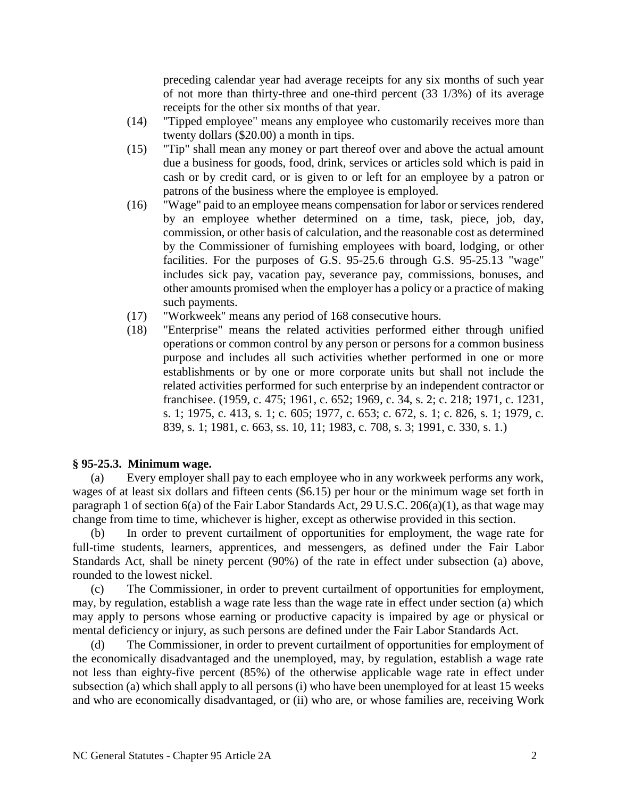preceding calendar year had average receipts for any six months of such year of not more than thirty-three and one-third percent (33 1/3%) of its average receipts for the other six months of that year.

- (14) "Tipped employee" means any employee who customarily receives more than twenty dollars (\$20.00) a month in tips.
- (15) "Tip" shall mean any money or part thereof over and above the actual amount due a business for goods, food, drink, services or articles sold which is paid in cash or by credit card, or is given to or left for an employee by a patron or patrons of the business where the employee is employed.
- (16) "Wage" paid to an employee means compensation for labor or services rendered by an employee whether determined on a time, task, piece, job, day, commission, or other basis of calculation, and the reasonable cost as determined by the Commissioner of furnishing employees with board, lodging, or other facilities. For the purposes of G.S. 95-25.6 through G.S. 95-25.13 "wage" includes sick pay, vacation pay, severance pay, commissions, bonuses, and other amounts promised when the employer has a policy or a practice of making such payments.
- (17) "Workweek" means any period of 168 consecutive hours.
- (18) "Enterprise" means the related activities performed either through unified operations or common control by any person or persons for a common business purpose and includes all such activities whether performed in one or more establishments or by one or more corporate units but shall not include the related activities performed for such enterprise by an independent contractor or franchisee. (1959, c. 475; 1961, c. 652; 1969, c. 34, s. 2; c. 218; 1971, c. 1231, s. 1; 1975, c. 413, s. 1; c. 605; 1977, c. 653; c. 672, s. 1; c. 826, s. 1; 1979, c. 839, s. 1; 1981, c. 663, ss. 10, 11; 1983, c. 708, s. 3; 1991, c. 330, s. 1.)

### **§ 95-25.3. Minimum wage.**

(a) Every employer shall pay to each employee who in any workweek performs any work, wages of at least six dollars and fifteen cents (\$6.15) per hour or the minimum wage set forth in paragraph 1 of section 6(a) of the Fair Labor Standards Act, 29 U.S.C. 206(a)(1), as that wage may change from time to time, whichever is higher, except as otherwise provided in this section.

(b) In order to prevent curtailment of opportunities for employment, the wage rate for full-time students, learners, apprentices, and messengers, as defined under the Fair Labor Standards Act, shall be ninety percent (90%) of the rate in effect under subsection (a) above, rounded to the lowest nickel.

(c) The Commissioner, in order to prevent curtailment of opportunities for employment, may, by regulation, establish a wage rate less than the wage rate in effect under section (a) which may apply to persons whose earning or productive capacity is impaired by age or physical or mental deficiency or injury, as such persons are defined under the Fair Labor Standards Act.

(d) The Commissioner, in order to prevent curtailment of opportunities for employment of the economically disadvantaged and the unemployed, may, by regulation, establish a wage rate not less than eighty-five percent (85%) of the otherwise applicable wage rate in effect under subsection (a) which shall apply to all persons (i) who have been unemployed for at least 15 weeks and who are economically disadvantaged, or (ii) who are, or whose families are, receiving Work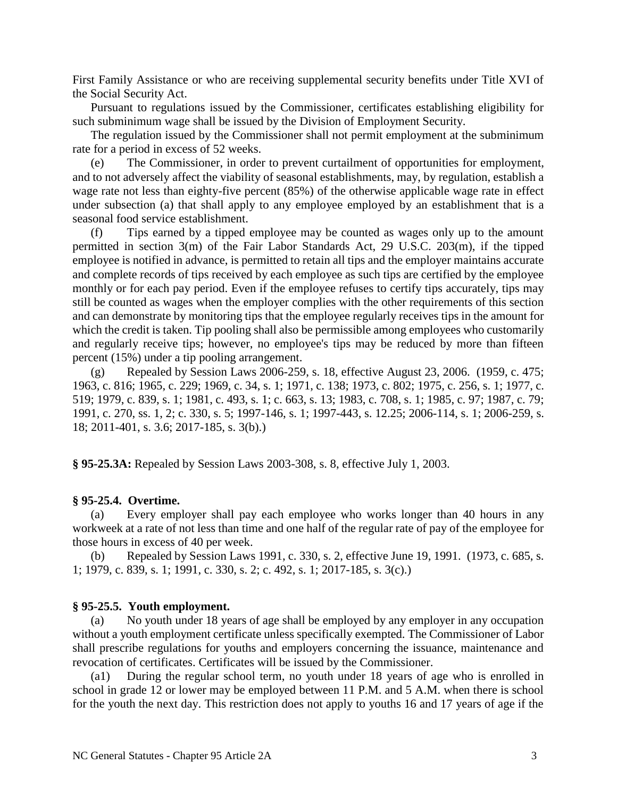First Family Assistance or who are receiving supplemental security benefits under Title XVI of the Social Security Act.

Pursuant to regulations issued by the Commissioner, certificates establishing eligibility for such subminimum wage shall be issued by the Division of Employment Security.

The regulation issued by the Commissioner shall not permit employment at the subminimum rate for a period in excess of 52 weeks.

(e) The Commissioner, in order to prevent curtailment of opportunities for employment, and to not adversely affect the viability of seasonal establishments, may, by regulation, establish a wage rate not less than eighty-five percent (85%) of the otherwise applicable wage rate in effect under subsection (a) that shall apply to any employee employed by an establishment that is a seasonal food service establishment.

(f) Tips earned by a tipped employee may be counted as wages only up to the amount permitted in section 3(m) of the Fair Labor Standards Act, 29 U.S.C. 203(m), if the tipped employee is notified in advance, is permitted to retain all tips and the employer maintains accurate and complete records of tips received by each employee as such tips are certified by the employee monthly or for each pay period. Even if the employee refuses to certify tips accurately, tips may still be counted as wages when the employer complies with the other requirements of this section and can demonstrate by monitoring tips that the employee regularly receives tips in the amount for which the credit is taken. Tip pooling shall also be permissible among employees who customarily and regularly receive tips; however, no employee's tips may be reduced by more than fifteen percent (15%) under a tip pooling arrangement.

(g) Repealed by Session Laws 2006-259, s. 18, effective August 23, 2006. (1959, c. 475; 1963, c. 816; 1965, c. 229; 1969, c. 34, s. 1; 1971, c. 138; 1973, c. 802; 1975, c. 256, s. 1; 1977, c. 519; 1979, c. 839, s. 1; 1981, c. 493, s. 1; c. 663, s. 13; 1983, c. 708, s. 1; 1985, c. 97; 1987, c. 79; 1991, c. 270, ss. 1, 2; c. 330, s. 5; 1997-146, s. 1; 1997-443, s. 12.25; 2006-114, s. 1; 2006-259, s. 18; 2011-401, s. 3.6; 2017-185, s. 3(b).)

**§ 95-25.3A:** Repealed by Session Laws 2003-308, s. 8, effective July 1, 2003.

#### **§ 95-25.4. Overtime.**

(a) Every employer shall pay each employee who works longer than 40 hours in any workweek at a rate of not less than time and one half of the regular rate of pay of the employee for those hours in excess of 40 per week.

(b) Repealed by Session Laws 1991, c. 330, s. 2, effective June 19, 1991. (1973, c. 685, s. 1; 1979, c. 839, s. 1; 1991, c. 330, s. 2; c. 492, s. 1; 2017-185, s. 3(c).)

#### **§ 95-25.5. Youth employment.**

(a) No youth under 18 years of age shall be employed by any employer in any occupation without a youth employment certificate unless specifically exempted. The Commissioner of Labor shall prescribe regulations for youths and employers concerning the issuance, maintenance and revocation of certificates. Certificates will be issued by the Commissioner.

(a1) During the regular school term, no youth under 18 years of age who is enrolled in school in grade 12 or lower may be employed between 11 P.M. and 5 A.M. when there is school for the youth the next day. This restriction does not apply to youths 16 and 17 years of age if the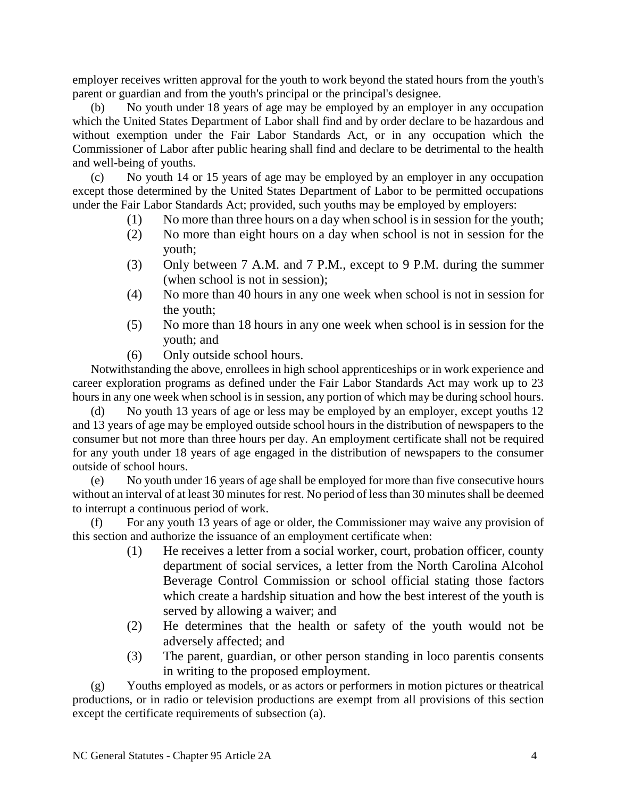employer receives written approval for the youth to work beyond the stated hours from the youth's parent or guardian and from the youth's principal or the principal's designee.

(b) No youth under 18 years of age may be employed by an employer in any occupation which the United States Department of Labor shall find and by order declare to be hazardous and without exemption under the Fair Labor Standards Act, or in any occupation which the Commissioner of Labor after public hearing shall find and declare to be detrimental to the health and well-being of youths.

(c) No youth 14 or 15 years of age may be employed by an employer in any occupation except those determined by the United States Department of Labor to be permitted occupations under the Fair Labor Standards Act; provided, such youths may be employed by employers:

- (1) No more than three hours on a day when school is in session for the youth;
- (2) No more than eight hours on a day when school is not in session for the youth;
- (3) Only between 7 A.M. and 7 P.M., except to 9 P.M. during the summer (when school is not in session);
- (4) No more than 40 hours in any one week when school is not in session for the youth;
- (5) No more than 18 hours in any one week when school is in session for the youth; and
- (6) Only outside school hours.

Notwithstanding the above, enrollees in high school apprenticeships or in work experience and career exploration programs as defined under the Fair Labor Standards Act may work up to 23 hours in any one week when school is in session, any portion of which may be during school hours.

(d) No youth 13 years of age or less may be employed by an employer, except youths 12 and 13 years of age may be employed outside school hours in the distribution of newspapers to the consumer but not more than three hours per day. An employment certificate shall not be required for any youth under 18 years of age engaged in the distribution of newspapers to the consumer outside of school hours.

(e) No youth under 16 years of age shall be employed for more than five consecutive hours without an interval of at least 30 minutes for rest. No period of less than 30 minutes shall be deemed to interrupt a continuous period of work.

(f) For any youth 13 years of age or older, the Commissioner may waive any provision of this section and authorize the issuance of an employment certificate when:

- (1) He receives a letter from a social worker, court, probation officer, county department of social services, a letter from the North Carolina Alcohol Beverage Control Commission or school official stating those factors which create a hardship situation and how the best interest of the youth is served by allowing a waiver; and
- (2) He determines that the health or safety of the youth would not be adversely affected; and
- (3) The parent, guardian, or other person standing in loco parentis consents in writing to the proposed employment.

(g) Youths employed as models, or as actors or performers in motion pictures or theatrical productions, or in radio or television productions are exempt from all provisions of this section except the certificate requirements of subsection (a).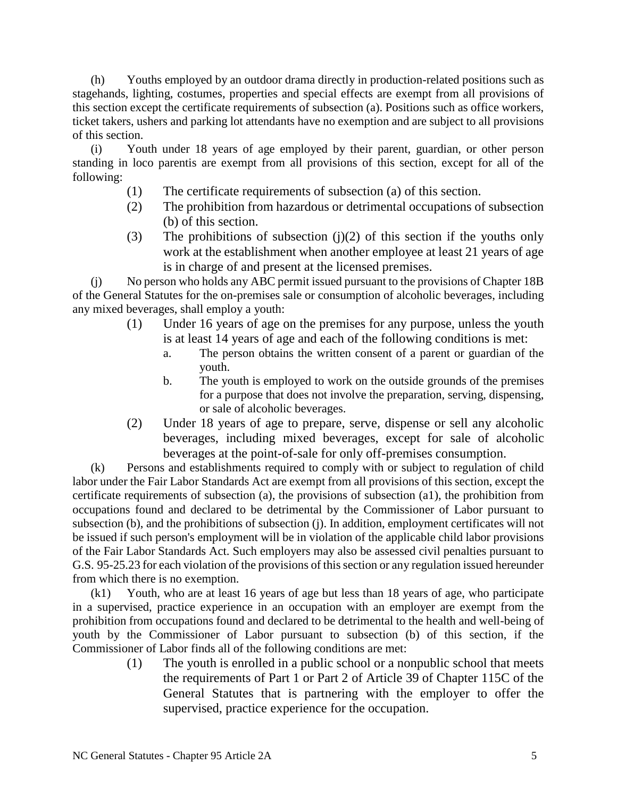(h) Youths employed by an outdoor drama directly in production-related positions such as stagehands, lighting, costumes, properties and special effects are exempt from all provisions of this section except the certificate requirements of subsection (a). Positions such as office workers, ticket takers, ushers and parking lot attendants have no exemption and are subject to all provisions of this section.

(i) Youth under 18 years of age employed by their parent, guardian, or other person standing in loco parentis are exempt from all provisions of this section, except for all of the following:

- (1) The certificate requirements of subsection (a) of this section.
- (2) The prohibition from hazardous or detrimental occupations of subsection (b) of this section.
- (3) The prohibitions of subsection  $(j)(2)$  of this section if the youths only work at the establishment when another employee at least 21 years of age is in charge of and present at the licensed premises.

(j) No person who holds any ABC permit issued pursuant to the provisions of Chapter 18B of the General Statutes for the on-premises sale or consumption of alcoholic beverages, including any mixed beverages, shall employ a youth:

- (1) Under 16 years of age on the premises for any purpose, unless the youth is at least 14 years of age and each of the following conditions is met:
	- a. The person obtains the written consent of a parent or guardian of the youth.
	- b. The youth is employed to work on the outside grounds of the premises for a purpose that does not involve the preparation, serving, dispensing, or sale of alcoholic beverages.
- (2) Under 18 years of age to prepare, serve, dispense or sell any alcoholic beverages, including mixed beverages, except for sale of alcoholic beverages at the point-of-sale for only off-premises consumption.

(k) Persons and establishments required to comply with or subject to regulation of child labor under the Fair Labor Standards Act are exempt from all provisions of this section, except the certificate requirements of subsection (a), the provisions of subsection (a1), the prohibition from occupations found and declared to be detrimental by the Commissioner of Labor pursuant to subsection (b), and the prohibitions of subsection (j). In addition, employment certificates will not be issued if such person's employment will be in violation of the applicable child labor provisions of the Fair Labor Standards Act. Such employers may also be assessed civil penalties pursuant to G.S. 95-25.23 for each violation of the provisions of this section or any regulation issued hereunder from which there is no exemption.

(k1) Youth, who are at least 16 years of age but less than 18 years of age, who participate in a supervised, practice experience in an occupation with an employer are exempt from the prohibition from occupations found and declared to be detrimental to the health and well-being of youth by the Commissioner of Labor pursuant to subsection (b) of this section, if the Commissioner of Labor finds all of the following conditions are met:

(1) The youth is enrolled in a public school or a nonpublic school that meets the requirements of Part 1 or Part 2 of Article 39 of Chapter 115C of the General Statutes that is partnering with the employer to offer the supervised, practice experience for the occupation.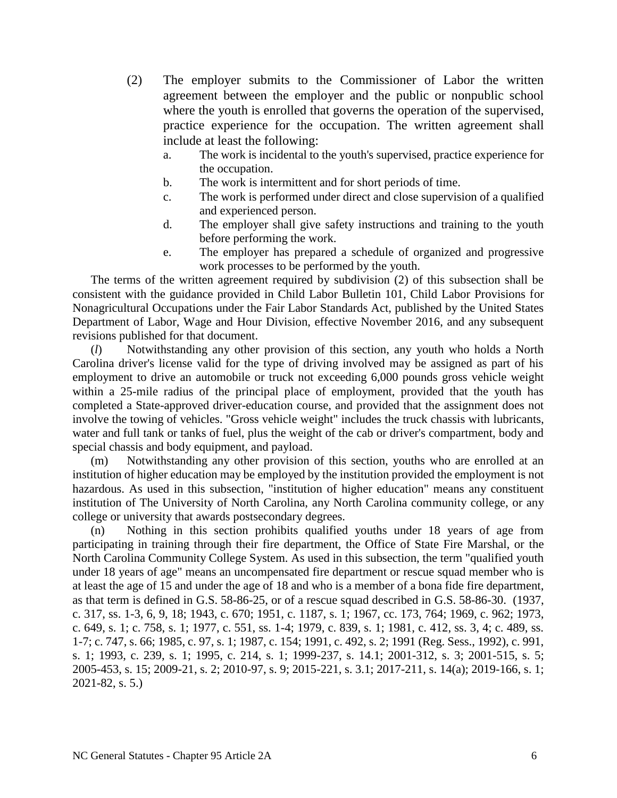- (2) The employer submits to the Commissioner of Labor the written agreement between the employer and the public or nonpublic school where the youth is enrolled that governs the operation of the supervised, practice experience for the occupation. The written agreement shall include at least the following:
	- a. The work is incidental to the youth's supervised, practice experience for the occupation.
	- b. The work is intermittent and for short periods of time.
	- c. The work is performed under direct and close supervision of a qualified and experienced person.
	- d. The employer shall give safety instructions and training to the youth before performing the work.
	- e. The employer has prepared a schedule of organized and progressive work processes to be performed by the youth.

The terms of the written agreement required by subdivision (2) of this subsection shall be consistent with the guidance provided in Child Labor Bulletin 101, Child Labor Provisions for Nonagricultural Occupations under the Fair Labor Standards Act, published by the United States Department of Labor, Wage and Hour Division, effective November 2016, and any subsequent revisions published for that document.

(*l*) Notwithstanding any other provision of this section, any youth who holds a North Carolina driver's license valid for the type of driving involved may be assigned as part of his employment to drive an automobile or truck not exceeding 6,000 pounds gross vehicle weight within a 25-mile radius of the principal place of employment, provided that the youth has completed a State-approved driver-education course, and provided that the assignment does not involve the towing of vehicles. "Gross vehicle weight" includes the truck chassis with lubricants, water and full tank or tanks of fuel, plus the weight of the cab or driver's compartment, body and special chassis and body equipment, and payload.

(m) Notwithstanding any other provision of this section, youths who are enrolled at an institution of higher education may be employed by the institution provided the employment is not hazardous. As used in this subsection, "institution of higher education" means any constituent institution of The University of North Carolina, any North Carolina community college, or any college or university that awards postsecondary degrees.

(n) Nothing in this section prohibits qualified youths under 18 years of age from participating in training through their fire department, the Office of State Fire Marshal, or the North Carolina Community College System. As used in this subsection, the term "qualified youth under 18 years of age" means an uncompensated fire department or rescue squad member who is at least the age of 15 and under the age of 18 and who is a member of a bona fide fire department, as that term is defined in G.S. 58-86-25, or of a rescue squad described in G.S. 58-86-30. (1937, c. 317, ss. 1-3, 6, 9, 18; 1943, c. 670; 1951, c. 1187, s. 1; 1967, cc. 173, 764; 1969, c. 962; 1973, c. 649, s. 1; c. 758, s. 1; 1977, c. 551, ss. 1-4; 1979, c. 839, s. 1; 1981, c. 412, ss. 3, 4; c. 489, ss. 1-7; c. 747, s. 66; 1985, c. 97, s. 1; 1987, c. 154; 1991, c. 492, s. 2; 1991 (Reg. Sess., 1992), c. 991, s. 1; 1993, c. 239, s. 1; 1995, c. 214, s. 1; 1999-237, s. 14.1; 2001-312, s. 3; 2001-515, s. 5; 2005-453, s. 15; 2009-21, s. 2; 2010-97, s. 9; 2015-221, s. 3.1; 2017-211, s. 14(a); 2019-166, s. 1; 2021-82, s. 5.)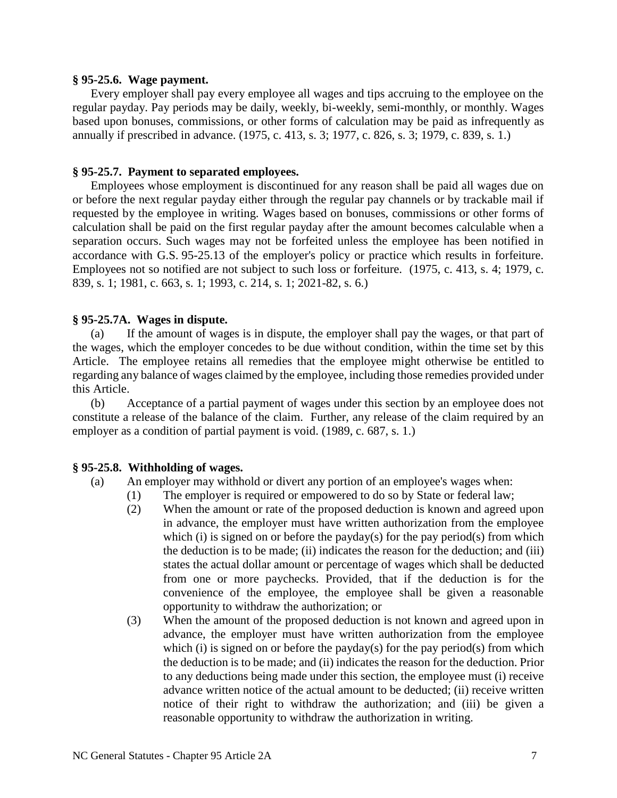#### **§ 95-25.6. Wage payment.**

Every employer shall pay every employee all wages and tips accruing to the employee on the regular payday. Pay periods may be daily, weekly, bi-weekly, semi-monthly, or monthly. Wages based upon bonuses, commissions, or other forms of calculation may be paid as infrequently as annually if prescribed in advance. (1975, c. 413, s. 3; 1977, c. 826, s. 3; 1979, c. 839, s. 1.)

### **§ 95-25.7. Payment to separated employees.**

Employees whose employment is discontinued for any reason shall be paid all wages due on or before the next regular payday either through the regular pay channels or by trackable mail if requested by the employee in writing. Wages based on bonuses, commissions or other forms of calculation shall be paid on the first regular payday after the amount becomes calculable when a separation occurs. Such wages may not be forfeited unless the employee has been notified in accordance with G.S. 95-25.13 of the employer's policy or practice which results in forfeiture. Employees not so notified are not subject to such loss or forfeiture. (1975, c. 413, s. 4; 1979, c. 839, s. 1; 1981, c. 663, s. 1; 1993, c. 214, s. 1; 2021-82, s. 6.)

# **§ 95-25.7A. Wages in dispute.**

(a) If the amount of wages is in dispute, the employer shall pay the wages, or that part of the wages, which the employer concedes to be due without condition, within the time set by this Article. The employee retains all remedies that the employee might otherwise be entitled to regarding any balance of wages claimed by the employee, including those remedies provided under this Article.

(b) Acceptance of a partial payment of wages under this section by an employee does not constitute a release of the balance of the claim. Further, any release of the claim required by an employer as a condition of partial payment is void. (1989, c. 687, s. 1.)

### **§ 95-25.8. Withholding of wages.**

# (a) An employer may withhold or divert any portion of an employee's wages when:

- (1) The employer is required or empowered to do so by State or federal law;
- (2) When the amount or rate of the proposed deduction is known and agreed upon in advance, the employer must have written authorization from the employee which (i) is signed on or before the payday(s) for the pay period(s) from which the deduction is to be made; (ii) indicates the reason for the deduction; and (iii) states the actual dollar amount or percentage of wages which shall be deducted from one or more paychecks. Provided, that if the deduction is for the convenience of the employee, the employee shall be given a reasonable opportunity to withdraw the authorization; or
- (3) When the amount of the proposed deduction is not known and agreed upon in advance, the employer must have written authorization from the employee which (i) is signed on or before the payday(s) for the pay period(s) from which the deduction is to be made; and (ii) indicates the reason for the deduction. Prior to any deductions being made under this section, the employee must (i) receive advance written notice of the actual amount to be deducted; (ii) receive written notice of their right to withdraw the authorization; and (iii) be given a reasonable opportunity to withdraw the authorization in writing.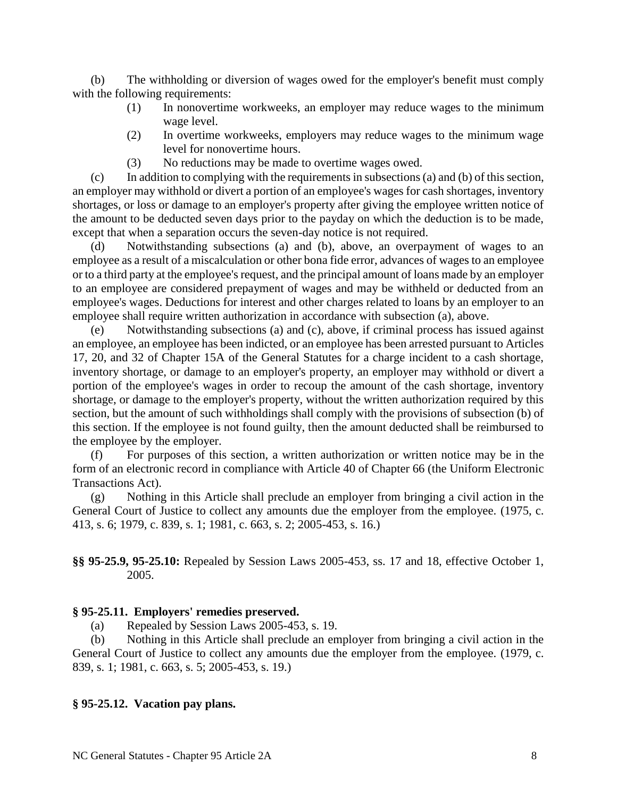(b) The withholding or diversion of wages owed for the employer's benefit must comply with the following requirements:

- (1) In nonovertime workweeks, an employer may reduce wages to the minimum wage level.
- (2) In overtime workweeks, employers may reduce wages to the minimum wage level for nonovertime hours.
- (3) No reductions may be made to overtime wages owed.

(c) In addition to complying with the requirements in subsections (a) and (b) of this section, an employer may withhold or divert a portion of an employee's wages for cash shortages, inventory shortages, or loss or damage to an employer's property after giving the employee written notice of the amount to be deducted seven days prior to the payday on which the deduction is to be made, except that when a separation occurs the seven-day notice is not required.

(d) Notwithstanding subsections (a) and (b), above, an overpayment of wages to an employee as a result of a miscalculation or other bona fide error, advances of wages to an employee or to a third party at the employee's request, and the principal amount of loans made by an employer to an employee are considered prepayment of wages and may be withheld or deducted from an employee's wages. Deductions for interest and other charges related to loans by an employer to an employee shall require written authorization in accordance with subsection (a), above.

(e) Notwithstanding subsections (a) and (c), above, if criminal process has issued against an employee, an employee has been indicted, or an employee has been arrested pursuant to Articles 17, 20, and 32 of Chapter 15A of the General Statutes for a charge incident to a cash shortage, inventory shortage, or damage to an employer's property, an employer may withhold or divert a portion of the employee's wages in order to recoup the amount of the cash shortage, inventory shortage, or damage to the employer's property, without the written authorization required by this section, but the amount of such withholdings shall comply with the provisions of subsection (b) of this section. If the employee is not found guilty, then the amount deducted shall be reimbursed to the employee by the employer.

(f) For purposes of this section, a written authorization or written notice may be in the form of an electronic record in compliance with Article 40 of Chapter 66 (the Uniform Electronic Transactions Act).

(g) Nothing in this Article shall preclude an employer from bringing a civil action in the General Court of Justice to collect any amounts due the employer from the employee. (1975, c. 413, s. 6; 1979, c. 839, s. 1; 1981, c. 663, s. 2; 2005-453, s. 16.)

**§§ 95-25.9, 95-25.10:** Repealed by Session Laws 2005-453, ss. 17 and 18, effective October 1, 2005.

#### **§ 95-25.11. Employers' remedies preserved.**

(a) Repealed by Session Laws 2005-453, s. 19.

(b) Nothing in this Article shall preclude an employer from bringing a civil action in the General Court of Justice to collect any amounts due the employer from the employee. (1979, c. 839, s. 1; 1981, c. 663, s. 5; 2005-453, s. 19.)

#### **§ 95-25.12. Vacation pay plans.**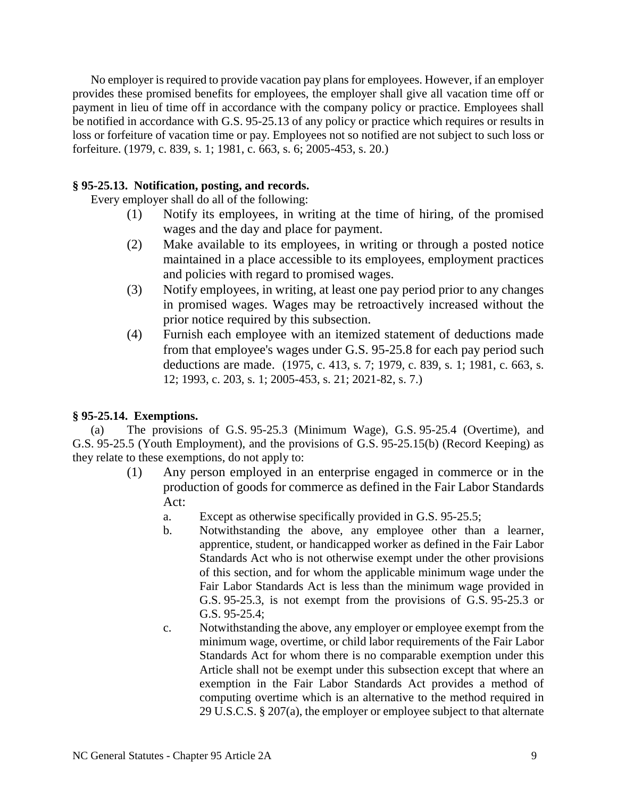No employer is required to provide vacation pay plans for employees. However, if an employer provides these promised benefits for employees, the employer shall give all vacation time off or payment in lieu of time off in accordance with the company policy or practice. Employees shall be notified in accordance with G.S. 95-25.13 of any policy or practice which requires or results in loss or forfeiture of vacation time or pay. Employees not so notified are not subject to such loss or forfeiture. (1979, c. 839, s. 1; 1981, c. 663, s. 6; 2005-453, s. 20.)

# **§ 95-25.13. Notification, posting, and records.**

Every employer shall do all of the following:

- (1) Notify its employees, in writing at the time of hiring, of the promised wages and the day and place for payment.
- (2) Make available to its employees, in writing or through a posted notice maintained in a place accessible to its employees, employment practices and policies with regard to promised wages.
- (3) Notify employees, in writing, at least one pay period prior to any changes in promised wages. Wages may be retroactively increased without the prior notice required by this subsection.
- (4) Furnish each employee with an itemized statement of deductions made from that employee's wages under G.S. 95-25.8 for each pay period such deductions are made. (1975, c. 413, s. 7; 1979, c. 839, s. 1; 1981, c. 663, s. 12; 1993, c. 203, s. 1; 2005-453, s. 21; 2021-82, s. 7.)

# **§ 95-25.14. Exemptions.**

(a) The provisions of G.S. 95-25.3 (Minimum Wage), G.S. 95-25.4 (Overtime), and G.S. 95-25.5 (Youth Employment), and the provisions of G.S. 95-25.15(b) (Record Keeping) as they relate to these exemptions, do not apply to:

- (1) Any person employed in an enterprise engaged in commerce or in the production of goods for commerce as defined in the Fair Labor Standards Act:
	- a. Except as otherwise specifically provided in G.S. 95-25.5;
	- b. Notwithstanding the above, any employee other than a learner, apprentice, student, or handicapped worker as defined in the Fair Labor Standards Act who is not otherwise exempt under the other provisions of this section, and for whom the applicable minimum wage under the Fair Labor Standards Act is less than the minimum wage provided in G.S. 95-25.3, is not exempt from the provisions of G.S. 95-25.3 or G.S. 95-25.4;
	- c. Notwithstanding the above, any employer or employee exempt from the minimum wage, overtime, or child labor requirements of the Fair Labor Standards Act for whom there is no comparable exemption under this Article shall not be exempt under this subsection except that where an exemption in the Fair Labor Standards Act provides a method of computing overtime which is an alternative to the method required in 29 U.S.C.S. § 207(a), the employer or employee subject to that alternate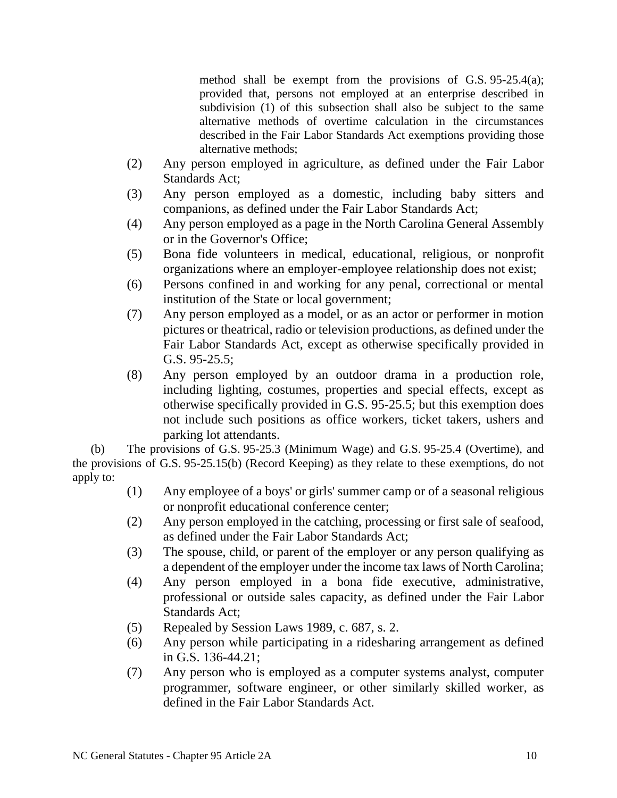method shall be exempt from the provisions of G.S. 95-25.4(a); provided that, persons not employed at an enterprise described in subdivision (1) of this subsection shall also be subject to the same alternative methods of overtime calculation in the circumstances described in the Fair Labor Standards Act exemptions providing those alternative methods;

- (2) Any person employed in agriculture, as defined under the Fair Labor Standards Act;
- (3) Any person employed as a domestic, including baby sitters and companions, as defined under the Fair Labor Standards Act;
- (4) Any person employed as a page in the North Carolina General Assembly or in the Governor's Office;
- (5) Bona fide volunteers in medical, educational, religious, or nonprofit organizations where an employer-employee relationship does not exist;
- (6) Persons confined in and working for any penal, correctional or mental institution of the State or local government;
- (7) Any person employed as a model, or as an actor or performer in motion pictures or theatrical, radio or television productions, as defined under the Fair Labor Standards Act, except as otherwise specifically provided in G.S. 95-25.5;
- (8) Any person employed by an outdoor drama in a production role, including lighting, costumes, properties and special effects, except as otherwise specifically provided in G.S. 95-25.5; but this exemption does not include such positions as office workers, ticket takers, ushers and parking lot attendants.

(b) The provisions of G.S. 95-25.3 (Minimum Wage) and G.S. 95-25.4 (Overtime), and the provisions of G.S. 95-25.15(b) (Record Keeping) as they relate to these exemptions, do not apply to:

- (1) Any employee of a boys' or girls' summer camp or of a seasonal religious or nonprofit educational conference center;
- (2) Any person employed in the catching, processing or first sale of seafood, as defined under the Fair Labor Standards Act;
- (3) The spouse, child, or parent of the employer or any person qualifying as a dependent of the employer under the income tax laws of North Carolina;
- (4) Any person employed in a bona fide executive, administrative, professional or outside sales capacity, as defined under the Fair Labor Standards Act;
- (5) Repealed by Session Laws 1989, c. 687, s. 2.
- (6) Any person while participating in a ridesharing arrangement as defined in G.S. 136-44.21;
- (7) Any person who is employed as a computer systems analyst, computer programmer, software engineer, or other similarly skilled worker, as defined in the Fair Labor Standards Act.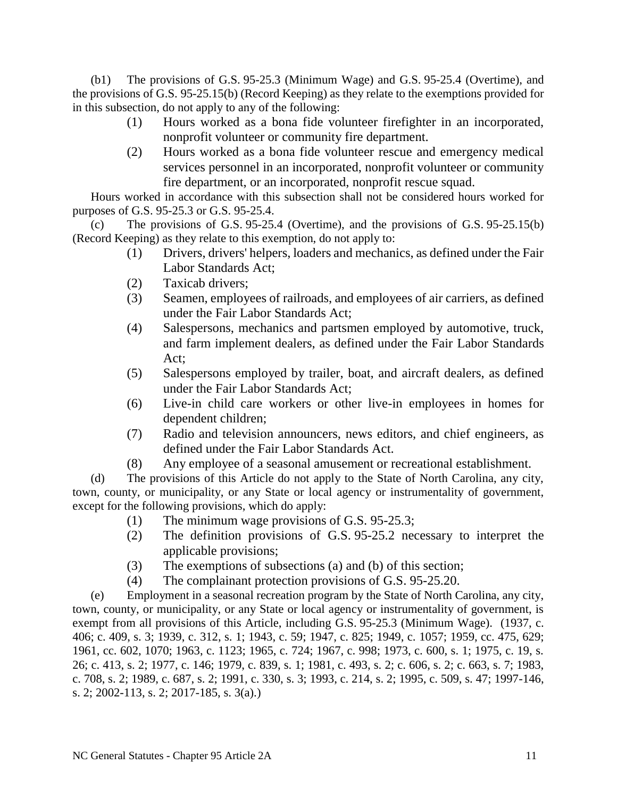(b1) The provisions of G.S. 95-25.3 (Minimum Wage) and G.S. 95-25.4 (Overtime), and the provisions of G.S. 95-25.15(b) (Record Keeping) as they relate to the exemptions provided for in this subsection, do not apply to any of the following:

- (1) Hours worked as a bona fide volunteer firefighter in an incorporated, nonprofit volunteer or community fire department.
- (2) Hours worked as a bona fide volunteer rescue and emergency medical services personnel in an incorporated, nonprofit volunteer or community fire department, or an incorporated, nonprofit rescue squad.

Hours worked in accordance with this subsection shall not be considered hours worked for purposes of G.S. 95-25.3 or G.S. 95-25.4.

(c) The provisions of G.S. 95-25.4 (Overtime), and the provisions of G.S. 95-25.15(b) (Record Keeping) as they relate to this exemption, do not apply to:

- (1) Drivers, drivers' helpers, loaders and mechanics, as defined under the Fair Labor Standards Act;
- (2) Taxicab drivers;
- (3) Seamen, employees of railroads, and employees of air carriers, as defined under the Fair Labor Standards Act;
- (4) Salespersons, mechanics and partsmen employed by automotive, truck, and farm implement dealers, as defined under the Fair Labor Standards Act;
- (5) Salespersons employed by trailer, boat, and aircraft dealers, as defined under the Fair Labor Standards Act;
- (6) Live-in child care workers or other live-in employees in homes for dependent children;
- (7) Radio and television announcers, news editors, and chief engineers, as defined under the Fair Labor Standards Act.
- (8) Any employee of a seasonal amusement or recreational establishment.

(d) The provisions of this Article do not apply to the State of North Carolina, any city, town, county, or municipality, or any State or local agency or instrumentality of government, except for the following provisions, which do apply:

- (1) The minimum wage provisions of G.S. 95-25.3;
- (2) The definition provisions of G.S. 95-25.2 necessary to interpret the applicable provisions;
- (3) The exemptions of subsections (a) and (b) of this section;
- (4) The complainant protection provisions of G.S. 95-25.20.

(e) Employment in a seasonal recreation program by the State of North Carolina, any city, town, county, or municipality, or any State or local agency or instrumentality of government, is exempt from all provisions of this Article, including G.S. 95-25.3 (Minimum Wage). (1937, c. 406; c. 409, s. 3; 1939, c. 312, s. 1; 1943, c. 59; 1947, c. 825; 1949, c. 1057; 1959, cc. 475, 629; 1961, cc. 602, 1070; 1963, c. 1123; 1965, c. 724; 1967, c. 998; 1973, c. 600, s. 1; 1975, c. 19, s. 26; c. 413, s. 2; 1977, c. 146; 1979, c. 839, s. 1; 1981, c. 493, s. 2; c. 606, s. 2; c. 663, s. 7; 1983, c. 708, s. 2; 1989, c. 687, s. 2; 1991, c. 330, s. 3; 1993, c. 214, s. 2; 1995, c. 509, s. 47; 1997-146, s. 2; 2002-113, s. 2; 2017-185, s. 3(a).)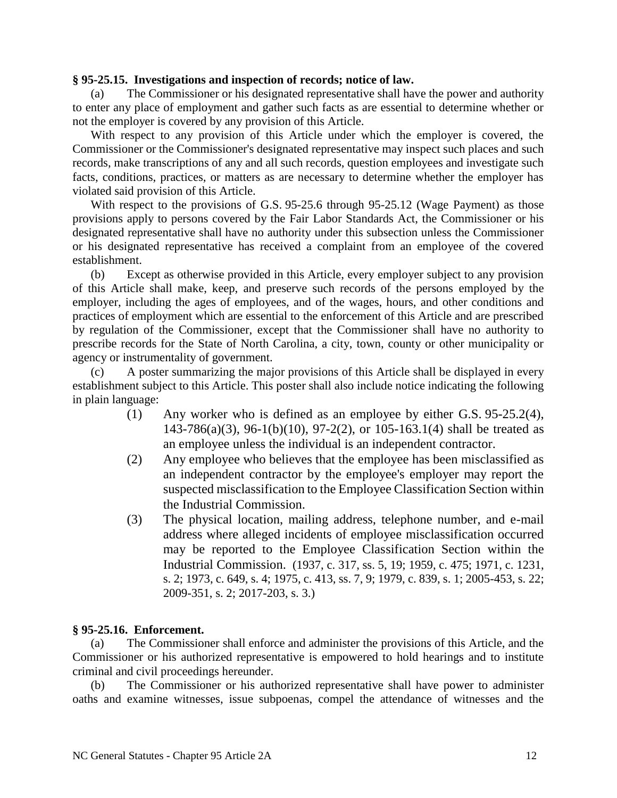#### **§ 95-25.15. Investigations and inspection of records; notice of law.**

(a) The Commissioner or his designated representative shall have the power and authority to enter any place of employment and gather such facts as are essential to determine whether or not the employer is covered by any provision of this Article.

With respect to any provision of this Article under which the employer is covered, the Commissioner or the Commissioner's designated representative may inspect such places and such records, make transcriptions of any and all such records, question employees and investigate such facts, conditions, practices, or matters as are necessary to determine whether the employer has violated said provision of this Article.

With respect to the provisions of G.S. 95-25.6 through 95-25.12 (Wage Payment) as those provisions apply to persons covered by the Fair Labor Standards Act, the Commissioner or his designated representative shall have no authority under this subsection unless the Commissioner or his designated representative has received a complaint from an employee of the covered establishment.

(b) Except as otherwise provided in this Article, every employer subject to any provision of this Article shall make, keep, and preserve such records of the persons employed by the employer, including the ages of employees, and of the wages, hours, and other conditions and practices of employment which are essential to the enforcement of this Article and are prescribed by regulation of the Commissioner, except that the Commissioner shall have no authority to prescribe records for the State of North Carolina, a city, town, county or other municipality or agency or instrumentality of government.

(c) A poster summarizing the major provisions of this Article shall be displayed in every establishment subject to this Article. This poster shall also include notice indicating the following in plain language:

- (1) Any worker who is defined as an employee by either G.S. 95-25.2(4), 143-786(a)(3), 96-1(b)(10), 97-2(2), or 105-163.1(4) shall be treated as an employee unless the individual is an independent contractor.
- (2) Any employee who believes that the employee has been misclassified as an independent contractor by the employee's employer may report the suspected misclassification to the Employee Classification Section within the Industrial Commission.
- (3) The physical location, mailing address, telephone number, and e-mail address where alleged incidents of employee misclassification occurred may be reported to the Employee Classification Section within the Industrial Commission. (1937, c. 317, ss. 5, 19; 1959, c. 475; 1971, c. 1231, s. 2; 1973, c. 649, s. 4; 1975, c. 413, ss. 7, 9; 1979, c. 839, s. 1; 2005-453, s. 22; 2009-351, s. 2; 2017-203, s. 3.)

### **§ 95-25.16. Enforcement.**

(a) The Commissioner shall enforce and administer the provisions of this Article, and the Commissioner or his authorized representative is empowered to hold hearings and to institute criminal and civil proceedings hereunder.

(b) The Commissioner or his authorized representative shall have power to administer oaths and examine witnesses, issue subpoenas, compel the attendance of witnesses and the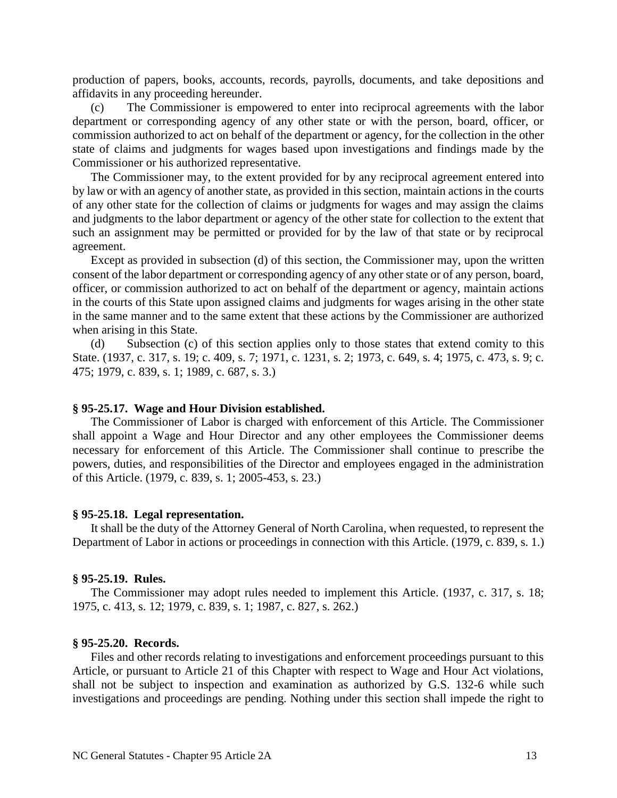production of papers, books, accounts, records, payrolls, documents, and take depositions and affidavits in any proceeding hereunder.

(c) The Commissioner is empowered to enter into reciprocal agreements with the labor department or corresponding agency of any other state or with the person, board, officer, or commission authorized to act on behalf of the department or agency, for the collection in the other state of claims and judgments for wages based upon investigations and findings made by the Commissioner or his authorized representative.

The Commissioner may, to the extent provided for by any reciprocal agreement entered into by law or with an agency of another state, as provided in this section, maintain actions in the courts of any other state for the collection of claims or judgments for wages and may assign the claims and judgments to the labor department or agency of the other state for collection to the extent that such an assignment may be permitted or provided for by the law of that state or by reciprocal agreement.

Except as provided in subsection (d) of this section, the Commissioner may, upon the written consent of the labor department or corresponding agency of any other state or of any person, board, officer, or commission authorized to act on behalf of the department or agency, maintain actions in the courts of this State upon assigned claims and judgments for wages arising in the other state in the same manner and to the same extent that these actions by the Commissioner are authorized when arising in this State.

(d) Subsection (c) of this section applies only to those states that extend comity to this State. (1937, c. 317, s. 19; c. 409, s. 7; 1971, c. 1231, s. 2; 1973, c. 649, s. 4; 1975, c. 473, s. 9; c. 475; 1979, c. 839, s. 1; 1989, c. 687, s. 3.)

#### **§ 95-25.17. Wage and Hour Division established.**

The Commissioner of Labor is charged with enforcement of this Article. The Commissioner shall appoint a Wage and Hour Director and any other employees the Commissioner deems necessary for enforcement of this Article. The Commissioner shall continue to prescribe the powers, duties, and responsibilities of the Director and employees engaged in the administration of this Article. (1979, c. 839, s. 1; 2005-453, s. 23.)

#### **§ 95-25.18. Legal representation.**

It shall be the duty of the Attorney General of North Carolina, when requested, to represent the Department of Labor in actions or proceedings in connection with this Article. (1979, c. 839, s. 1.)

#### **§ 95-25.19. Rules.**

The Commissioner may adopt rules needed to implement this Article. (1937, c. 317, s. 18; 1975, c. 413, s. 12; 1979, c. 839, s. 1; 1987, c. 827, s. 262.)

#### **§ 95-25.20. Records.**

Files and other records relating to investigations and enforcement proceedings pursuant to this Article, or pursuant to Article 21 of this Chapter with respect to Wage and Hour Act violations, shall not be subject to inspection and examination as authorized by G.S. 132-6 while such investigations and proceedings are pending. Nothing under this section shall impede the right to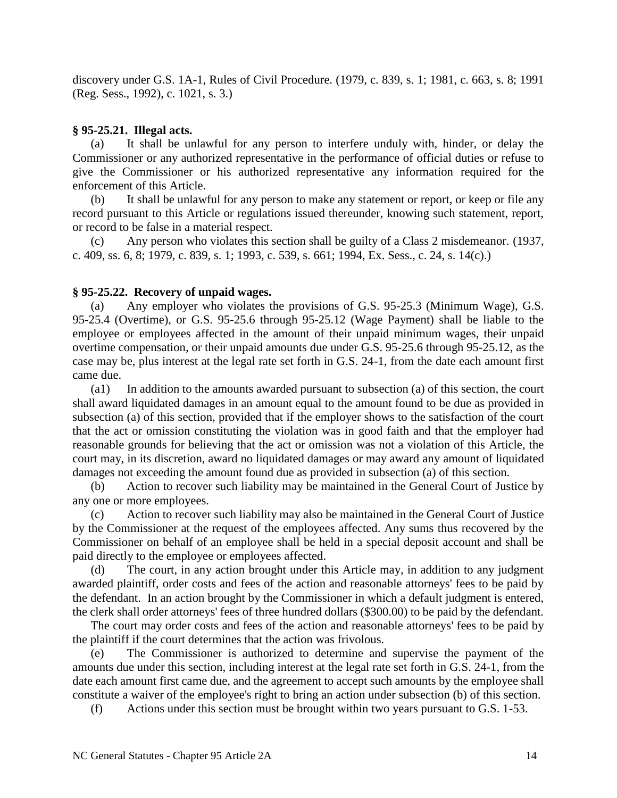discovery under G.S. 1A-1, Rules of Civil Procedure. (1979, c. 839, s. 1; 1981, c. 663, s. 8; 1991 (Reg. Sess., 1992), c. 1021, s. 3.)

### **§ 95-25.21. Illegal acts.**

(a) It shall be unlawful for any person to interfere unduly with, hinder, or delay the Commissioner or any authorized representative in the performance of official duties or refuse to give the Commissioner or his authorized representative any information required for the enforcement of this Article.

(b) It shall be unlawful for any person to make any statement or report, or keep or file any record pursuant to this Article or regulations issued thereunder, knowing such statement, report, or record to be false in a material respect.

(c) Any person who violates this section shall be guilty of a Class 2 misdemeanor. (1937, c. 409, ss. 6, 8; 1979, c. 839, s. 1; 1993, c. 539, s. 661; 1994, Ex. Sess., c. 24, s. 14(c).)

### **§ 95-25.22. Recovery of unpaid wages.**

(a) Any employer who violates the provisions of G.S. 95-25.3 (Minimum Wage), G.S. 95-25.4 (Overtime), or G.S. 95-25.6 through 95-25.12 (Wage Payment) shall be liable to the employee or employees affected in the amount of their unpaid minimum wages, their unpaid overtime compensation, or their unpaid amounts due under G.S. 95-25.6 through 95-25.12, as the case may be, plus interest at the legal rate set forth in G.S. 24-1, from the date each amount first came due.

(a1) In addition to the amounts awarded pursuant to subsection (a) of this section, the court shall award liquidated damages in an amount equal to the amount found to be due as provided in subsection (a) of this section, provided that if the employer shows to the satisfaction of the court that the act or omission constituting the violation was in good faith and that the employer had reasonable grounds for believing that the act or omission was not a violation of this Article, the court may, in its discretion, award no liquidated damages or may award any amount of liquidated damages not exceeding the amount found due as provided in subsection (a) of this section.

(b) Action to recover such liability may be maintained in the General Court of Justice by any one or more employees.

(c) Action to recover such liability may also be maintained in the General Court of Justice by the Commissioner at the request of the employees affected. Any sums thus recovered by the Commissioner on behalf of an employee shall be held in a special deposit account and shall be paid directly to the employee or employees affected.

(d) The court, in any action brought under this Article may, in addition to any judgment awarded plaintiff, order costs and fees of the action and reasonable attorneys' fees to be paid by the defendant. In an action brought by the Commissioner in which a default judgment is entered, the clerk shall order attorneys' fees of three hundred dollars (\$300.00) to be paid by the defendant.

The court may order costs and fees of the action and reasonable attorneys' fees to be paid by the plaintiff if the court determines that the action was frivolous.

(e) The Commissioner is authorized to determine and supervise the payment of the amounts due under this section, including interest at the legal rate set forth in G.S. 24-1, from the date each amount first came due, and the agreement to accept such amounts by the employee shall constitute a waiver of the employee's right to bring an action under subsection (b) of this section.

(f) Actions under this section must be brought within two years pursuant to G.S. 1-53.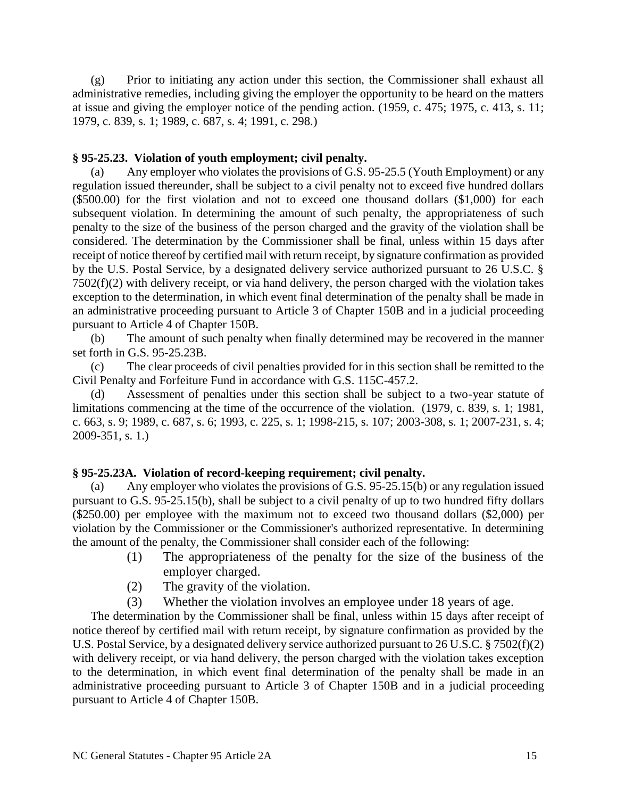(g) Prior to initiating any action under this section, the Commissioner shall exhaust all administrative remedies, including giving the employer the opportunity to be heard on the matters at issue and giving the employer notice of the pending action. (1959, c. 475; 1975, c. 413, s. 11; 1979, c. 839, s. 1; 1989, c. 687, s. 4; 1991, c. 298.)

#### **§ 95-25.23. Violation of youth employment; civil penalty.**

(a) Any employer who violates the provisions of G.S. 95-25.5 (Youth Employment) or any regulation issued thereunder, shall be subject to a civil penalty not to exceed five hundred dollars (\$500.00) for the first violation and not to exceed one thousand dollars (\$1,000) for each subsequent violation. In determining the amount of such penalty, the appropriateness of such penalty to the size of the business of the person charged and the gravity of the violation shall be considered. The determination by the Commissioner shall be final, unless within 15 days after receipt of notice thereof by certified mail with return receipt, by signature confirmation as provided by the U.S. Postal Service, by a designated delivery service authorized pursuant to 26 U.S.C. § 7502(f)(2) with delivery receipt, or via hand delivery, the person charged with the violation takes exception to the determination, in which event final determination of the penalty shall be made in an administrative proceeding pursuant to Article 3 of Chapter 150B and in a judicial proceeding pursuant to Article 4 of Chapter 150B.

(b) The amount of such penalty when finally determined may be recovered in the manner set forth in G.S. 95-25.23B.

(c) The clear proceeds of civil penalties provided for in this section shall be remitted to the Civil Penalty and Forfeiture Fund in accordance with G.S. 115C-457.2.

(d) Assessment of penalties under this section shall be subject to a two-year statute of limitations commencing at the time of the occurrence of the violation. (1979, c. 839, s. 1; 1981, c. 663, s. 9; 1989, c. 687, s. 6; 1993, c. 225, s. 1; 1998-215, s. 107; 2003-308, s. 1; 2007-231, s. 4; 2009-351, s. 1.)

### **§ 95-25.23A. Violation of record-keeping requirement; civil penalty.**

(a) Any employer who violates the provisions of G.S. 95-25.15(b) or any regulation issued pursuant to G.S. 95-25.15(b), shall be subject to a civil penalty of up to two hundred fifty dollars (\$250.00) per employee with the maximum not to exceed two thousand dollars (\$2,000) per violation by the Commissioner or the Commissioner's authorized representative. In determining the amount of the penalty, the Commissioner shall consider each of the following:

- (1) The appropriateness of the penalty for the size of the business of the employer charged.
- (2) The gravity of the violation.
- (3) Whether the violation involves an employee under 18 years of age.

The determination by the Commissioner shall be final, unless within 15 days after receipt of notice thereof by certified mail with return receipt, by signature confirmation as provided by the U.S. Postal Service, by a designated delivery service authorized pursuant to 26 U.S.C. § 7502(f)(2) with delivery receipt, or via hand delivery, the person charged with the violation takes exception to the determination, in which event final determination of the penalty shall be made in an administrative proceeding pursuant to Article 3 of Chapter 150B and in a judicial proceeding pursuant to Article 4 of Chapter 150B.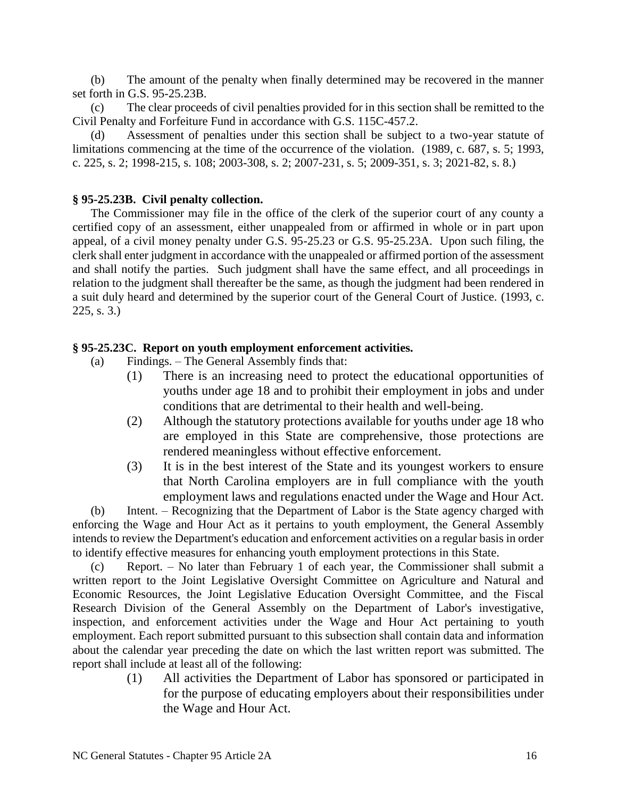(b) The amount of the penalty when finally determined may be recovered in the manner set forth in G.S. 95-25.23B.

(c) The clear proceeds of civil penalties provided for in this section shall be remitted to the Civil Penalty and Forfeiture Fund in accordance with G.S. 115C-457.2.

(d) Assessment of penalties under this section shall be subject to a two-year statute of limitations commencing at the time of the occurrence of the violation. (1989, c. 687, s. 5; 1993, c. 225, s. 2; 1998-215, s. 108; 2003-308, s. 2; 2007-231, s. 5; 2009-351, s. 3; 2021-82, s. 8.)

# **§ 95-25.23B. Civil penalty collection.**

The Commissioner may file in the office of the clerk of the superior court of any county a certified copy of an assessment, either unappealed from or affirmed in whole or in part upon appeal, of a civil money penalty under G.S. 95-25.23 or G.S. 95-25.23A. Upon such filing, the clerk shall enter judgment in accordance with the unappealed or affirmed portion of the assessment and shall notify the parties. Such judgment shall have the same effect, and all proceedings in relation to the judgment shall thereafter be the same, as though the judgment had been rendered in a suit duly heard and determined by the superior court of the General Court of Justice. (1993, c. 225, s. 3.)

# **§ 95-25.23C. Report on youth employment enforcement activities.**

- (a) Findings. The General Assembly finds that:
	- (1) There is an increasing need to protect the educational opportunities of youths under age 18 and to prohibit their employment in jobs and under conditions that are detrimental to their health and well-being.
	- (2) Although the statutory protections available for youths under age 18 who are employed in this State are comprehensive, those protections are rendered meaningless without effective enforcement.
	- (3) It is in the best interest of the State and its youngest workers to ensure that North Carolina employers are in full compliance with the youth employment laws and regulations enacted under the Wage and Hour Act.

(b) Intent. – Recognizing that the Department of Labor is the State agency charged with enforcing the Wage and Hour Act as it pertains to youth employment, the General Assembly intends to review the Department's education and enforcement activities on a regular basis in order to identify effective measures for enhancing youth employment protections in this State.

(c) Report. – No later than February 1 of each year, the Commissioner shall submit a written report to the Joint Legislative Oversight Committee on Agriculture and Natural and Economic Resources, the Joint Legislative Education Oversight Committee, and the Fiscal Research Division of the General Assembly on the Department of Labor's investigative, inspection, and enforcement activities under the Wage and Hour Act pertaining to youth employment. Each report submitted pursuant to this subsection shall contain data and information about the calendar year preceding the date on which the last written report was submitted. The report shall include at least all of the following:

> (1) All activities the Department of Labor has sponsored or participated in for the purpose of educating employers about their responsibilities under the Wage and Hour Act.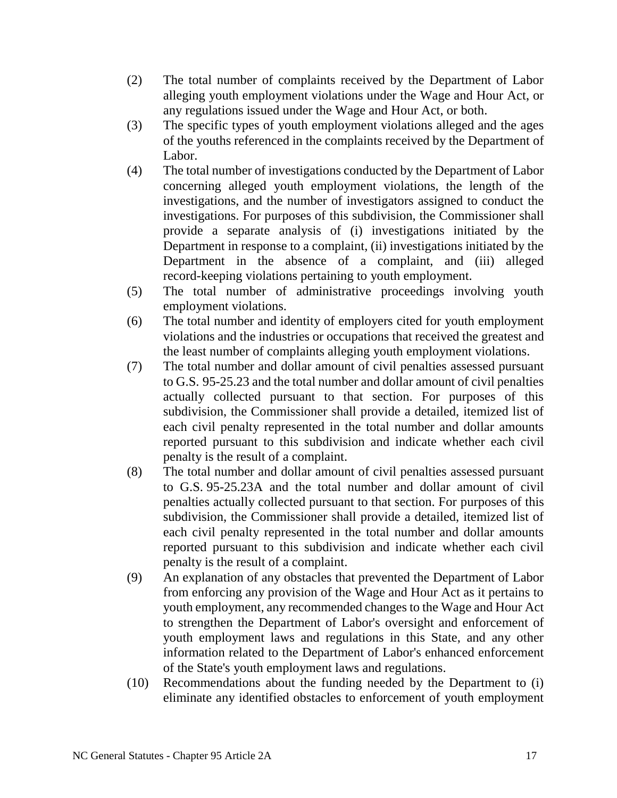- (2) The total number of complaints received by the Department of Labor alleging youth employment violations under the Wage and Hour Act, or any regulations issued under the Wage and Hour Act, or both.
- (3) The specific types of youth employment violations alleged and the ages of the youths referenced in the complaints received by the Department of Labor.
- (4) The total number of investigations conducted by the Department of Labor concerning alleged youth employment violations, the length of the investigations, and the number of investigators assigned to conduct the investigations. For purposes of this subdivision, the Commissioner shall provide a separate analysis of (i) investigations initiated by the Department in response to a complaint, (ii) investigations initiated by the Department in the absence of a complaint, and (iii) alleged record-keeping violations pertaining to youth employment.
- (5) The total number of administrative proceedings involving youth employment violations.
- (6) The total number and identity of employers cited for youth employment violations and the industries or occupations that received the greatest and the least number of complaints alleging youth employment violations.
- (7) The total number and dollar amount of civil penalties assessed pursuant to G.S. 95-25.23 and the total number and dollar amount of civil penalties actually collected pursuant to that section. For purposes of this subdivision, the Commissioner shall provide a detailed, itemized list of each civil penalty represented in the total number and dollar amounts reported pursuant to this subdivision and indicate whether each civil penalty is the result of a complaint.
- (8) The total number and dollar amount of civil penalties assessed pursuant to G.S. 95-25.23A and the total number and dollar amount of civil penalties actually collected pursuant to that section. For purposes of this subdivision, the Commissioner shall provide a detailed, itemized list of each civil penalty represented in the total number and dollar amounts reported pursuant to this subdivision and indicate whether each civil penalty is the result of a complaint.
- (9) An explanation of any obstacles that prevented the Department of Labor from enforcing any provision of the Wage and Hour Act as it pertains to youth employment, any recommended changes to the Wage and Hour Act to strengthen the Department of Labor's oversight and enforcement of youth employment laws and regulations in this State, and any other information related to the Department of Labor's enhanced enforcement of the State's youth employment laws and regulations.
- (10) Recommendations about the funding needed by the Department to (i) eliminate any identified obstacles to enforcement of youth employment